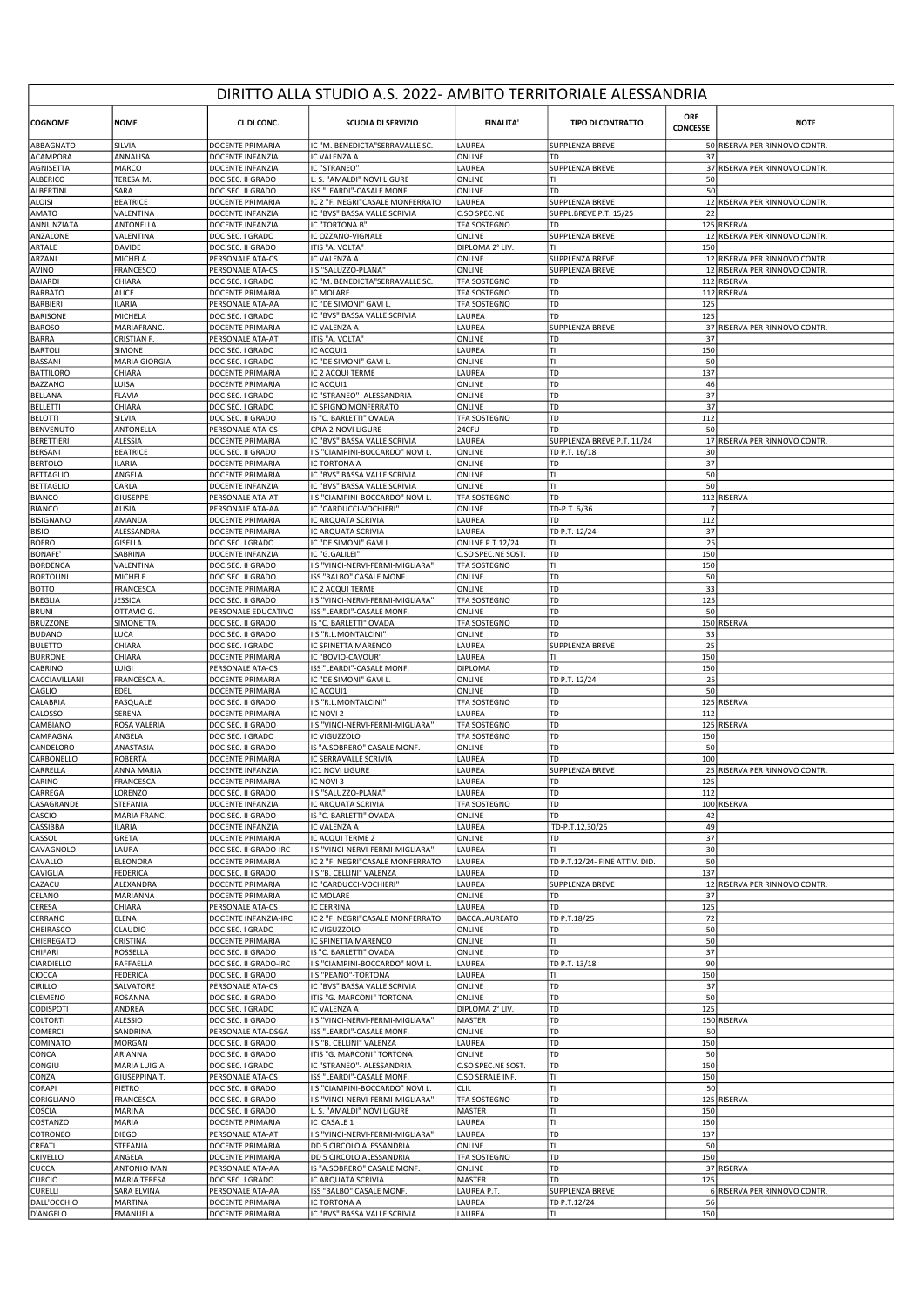## DIRITTO ALLA STUDIO A.S. 2022- AMBITO TERRITORIALE ALESSANDRIA

| <b>COGNOME</b>                       | <b>NOME</b>                   | CL DI CONC.                              | <b>SCUOLA DI SERVIZIO</b>                                     | <b>FINALITA'</b>              | <b>TIPO DI CONTRATTO</b>       | ORE<br><b>CONCESSE</b> | <b>NOTE</b>                   |
|--------------------------------------|-------------------------------|------------------------------------------|---------------------------------------------------------------|-------------------------------|--------------------------------|------------------------|-------------------------------|
| ABBAGNATO                            | SILVIA                        | <b>DOCENTE PRIMARIA</b>                  | IC "M. BENEDICTA"SERRAVALLE SC.                               | LAUREA                        | SUPPLENZA BREVE                |                        | 50 RISERVA PER RINNOVO CONTR  |
| <b>ACAMPORA</b><br>AGNISETTA         | ANNALISA<br>MARCO             | DOCENTE INFANZIA<br>DOCENTE INFANZIA     | IC VALENZA A<br><b>IC "STRANEO"</b>                           | ONLINE<br>LAUREA              | <b>SUPPLENZA BREVE</b>         | 37                     | 37 RISERVA PER RINNOVO CONTR  |
| ALBERICO                             | TERESA M.                     | DOC.SEC. II GRADO                        | L. S. "AMALDI" NOVI LIGURE                                    | ONLINE                        | lтı                            | 50                     |                               |
| ALBERTINI                            | SARA                          | DOC.SEC. II GRADO                        | ISS "LEARDI"-CASALE MONF.                                     | ONLINE                        | TD                             | 50                     |                               |
| <b>ALOISI</b>                        | <b>BEATRICE</b>               | DOCENTE PRIMARIA                         | IC 2 "F. NEGRI"CASALE MONFERRATO                              | LAUREA                        | <b>SUPPLENZA BREVE</b>         |                        | 12 RISERVA PER RINNOVO CONTR. |
| AMATO                                | VALENTINA                     | DOCENTE INFANZIA                         | IC "BVS" BASSA VALLE SCRIVIA                                  | C.SO SPEC.NE                  | SUPPL.BREVE P.T. 15/25         | 22                     |                               |
| ANNUNZIATA                           | ANTONELLA                     | DOCENTE INFANZIA                         | IC "TORTONA B'                                                | TFA SOSTEGNO                  | TD                             |                        | 125 RISERVA                   |
| ANZALONE                             | VALENTINA                     | DOC.SEC. I GRADO                         | IC OZZANO-VIGNALE                                             | ONLINE                        | SUPPLENZA BREVE                |                        | 12 RISERVA PER RINNOVO CONTR  |
| ARTALE<br>ARZANI                     | DAVIDE<br>MICHELA             | DOC.SEC. II GRADO<br>PERSONALE ATA-CS    | ITIS "A. VOLTA"<br>IC VALENZA A                               | DIPLOMA 2° LIV.<br>ONLINE     | lтı<br><b>SUPPLENZA BREVE</b>  | 150                    | 12 RISERVA PER RINNOVO CONTR  |
| AVINO                                | FRANCESCO                     | PERSONALE ATA-CS                         | IIS "SALUZZO-PLANA"                                           | ONLINE                        | <b>SUPPLENZA BREVE</b>         |                        | 12 RISERVA PER RINNOVO CONTR  |
| <b>BAIARDI</b>                       | CHIARA                        | DOC.SEC. I GRADO                         | IC "M. BENEDICTA"SERRAVALLE SC.                               | TFA SOSTEGNO                  | TD                             |                        | 112 RISERVA                   |
| <b>BARBATO</b>                       | <b>ALICE</b>                  | DOCENTE PRIMARIA                         | <b>IC MOLARE</b>                                              | TFA SOSTEGNO                  | TD                             |                        | 112 RISERVA                   |
| <b>BARBIERI</b>                      | <b>ILARIA</b>                 | PERSONALE ATA-AA                         | IC "DE SIMONI" GAVI L                                         | TFA SOSTEGNO                  | TD                             | 125                    |                               |
| <b>BARISONE</b>                      | MICHELA                       | DOC.SEC. I GRADO                         | IC "BVS" BASSA VALLE SCRIVIA                                  | LAUREA                        | TD                             | 125                    |                               |
| <b>BAROSO</b>                        | MARIAFRANC.                   | DOCENTE PRIMARIA                         | IC VALENZA A                                                  | LAUREA                        | <b>SUPPLENZA BREVE</b>         |                        | 37 RISERVA PER RINNOVO CONTR  |
| <b>BARRA</b>                         | CRISTIAN F.                   | PERSONALE ATA-AT                         | ITIS "A. VOLTA"                                               | ONLINE                        | TD                             | 37                     |                               |
| <b>BARTOLI</b>                       | SIMONE                        | DOC.SEC. I GRADO                         | IC ACQUI1                                                     | LAUREA                        | lτι<br>lτι                     | 150                    |                               |
| BASSANI<br><b>BATTILORO</b>          | MARIA GIORGIA<br>CHIARA       | DOC.SEC. I GRADO<br>DOCENTE PRIMARIA     | IC "DE SIMONI" GAVI L<br>IC 2 ACQUI TERME                     | ONLINE<br>LAUREA              | TD                             | 50<br>137              |                               |
| <b>BAZZANO</b>                       | LUISA                         | DOCENTE PRIMARIA                         | IC ACQUI1                                                     | ONLINE                        | 1 TD                           | 46                     |                               |
| <b>BELLANA</b>                       | <b>FLAVIA</b>                 | DOC.SEC. I GRADO                         | IC "STRANEO"- ALESSANDRIA                                     | ONLINE                        | TD                             | 37                     |                               |
| <b>BELLETTI</b>                      | CHIARA                        | DOC.SEC. I GRADO                         | IC SPIGNO MONFERRATO                                          | <b>ONLINE</b>                 | TD                             | 37                     |                               |
| <b>BELOTTI</b>                       | SILVIA                        | DOC.SEC. II GRADO                        | IS "C. BARLETTI" OVADA                                        | TFA SOSTEGNO                  | TD                             | 112                    |                               |
| <b>BENVENUTO</b>                     | ANTONELLA                     | PERSONALE ATA-CS                         | CPIA 2-NOVI LIGURE                                            | 24CFU                         | TD                             | 50                     |                               |
| <b>BERETTIERI</b>                    | <b>ALESSIA</b>                | DOCENTE PRIMARIA                         | IC "BVS" BASSA VALLE SCRIVIA                                  | LAUREA                        | SUPPLENZA BREVE P.T. 11/24     |                        | 17 RISERVA PER RINNOVO CONTR  |
| BERSANI                              | <b>BEATRICE</b>               | DOC.SEC. II GRADO                        | IIS "CIAMPINI-BOCCARDO" NOVI L                                | ONLINE                        | TD P.T. 16/18                  | 30                     |                               |
| <b>BERTOLO</b>                       | <b>ILARIA</b>                 | DOCENTE PRIMARIA                         | IC TORTONA A                                                  | ONLINE                        | TD                             | 37                     |                               |
| <b>BETTAGLIO</b><br><b>BETTAGLIO</b> | ANGELA<br>CARLA               | DOCENTE PRIMARIA<br>DOCENTE INFANZIA     | IC "BVS" BASSA VALLE SCRIVIA<br>IC "BVS" BASSA VALLE SCRIVIA  | ONLINE<br>ONLINE              | IΤΙ<br>lτı                     | 50<br>50               |                               |
| BIANCO                               | <b>GIUSEPPE</b>               | PERSONALE ATA-AT                         | IIS "CIAMPINI-BOCCARDO" NOVI L.                               | TFA SOSTEGNO                  | TD                             |                        | 112 RISERVA                   |
| <b>BIANCO</b>                        | ALISIA                        | PERSONALE ATA-AA                         | IC "CARDUCCI-VOCHIERI"                                        | ONLINE                        | TD-P.T. 6/36                   | $\overline{7}$         |                               |
| <b>BISIGNANO</b>                     | AMANDA                        | DOCENTE PRIMARIA                         | IC ARQUATA SCRIVIA                                            | LAUREA                        | TD                             | 112                    |                               |
| <b>BISIO</b>                         | ALESSANDRA                    | DOCENTE PRIMARIA                         | IC ARQUATA SCRIVIA                                            | LAUREA                        | TD P.T. 12/24                  | 37                     |                               |
| <b>BOERO</b>                         | GISELLA                       | DOC.SEC. I GRADO                         | IC "DE SIMONI" GAVI L                                         | <b>ONLINE P.T.12/24</b>       | IΤΙ                            | 25                     |                               |
| <b>BONAFE</b>                        | SABRINA                       | DOCENTE INFANZIA                         | IC "G.GALILEI'                                                | C.SO SPEC.NE SOST             | TD                             | 150                    |                               |
| <b>BORDENCA</b>                      | VALENTINA                     | DOC.SEC. II GRADO                        | IIS "VINCI-NERVI-FERMI-MIGLIARA"                              | <b>TFA SOSTEGNO</b>           | TI                             | 150                    |                               |
| <b>BORTOLINI</b>                     | MICHELE                       | DOC.SEC. II GRADO                        | ISS "BALBO" CASALE MONF.                                      | ONLINE                        | TD                             | 50                     |                               |
| <b>BOTTO</b>                         | FRANCESCA                     | DOCENTE PRIMARIA                         | IC 2 ACQUI TERME                                              | ONLINE                        | TD<br>TD                       | 33                     |                               |
| <b>BREGLIA</b><br><b>BRUNI</b>       | JESSICA<br>OTTAVIO G.         | DOC.SEC. II GRADO<br>PERSONALE EDUCATIVO | IIS "VINCI-NERVI-FERMI-MIGLIARA"<br>ISS "LEARDI"-CASALE MONF  | TFA SOSTEGNO<br>ONLINE        | TD                             | 125<br>50              |                               |
| <b>BRUZZONE</b>                      | SIMONETTA                     | DOC.SEC. II GRADO                        | IS "C. BARLETTI" OVADA                                        | TFA SOSTEGNO                  | TD                             |                        | 150 RISERVA                   |
| <b>BUDANO</b>                        | LUCA                          | DOC.SEC. II GRADO                        | IIS "R.L.MONTALCINI"                                          | ONLINE                        | TD                             | 33                     |                               |
| <b>BULETTO</b>                       | CHIARA                        | DOC.SEC. I GRADO                         | IC SPINETTA MARENCO                                           | LAUREA                        | <b>SUPPLENZA BREVE</b>         | 25                     |                               |
| <b>BURRONE</b>                       | CHIARA                        | DOCENTE PRIMARIA                         | IC "BOVIO-CAVOUR"                                             | LAUREA                        | lτι                            | 150                    |                               |
| CABRINO                              | LUIGI                         | PERSONALE ATA-CS                         | ISS "LEARDI"-CASALE MONF.                                     | <b>DIPLOMA</b>                | 1 TD                           | 150                    |                               |
| CACCIAVILLANI                        | FRANCESCA A.                  | DOCENTE PRIMARIA                         | IC "DE SIMONI" GAVI L                                         | ONLINE                        | TD P.T. 12/24                  | 25                     |                               |
| CAGLIO                               | EDEL                          | DOCENTE PRIMARIA                         | IC ACQUI1                                                     | ONLINE                        | TD                             | 50                     |                               |
| CALABRIA                             | PASQUALE                      | DOC.SEC. II GRADO                        | IIS "R.L.MONTALCINI"                                          | TFA SOSTEGNO                  | TD<br>l TD                     |                        | 125 RISERVA                   |
| CALOSSO<br>CAMBIANO                  | SERENA<br>ROSA VALERIA        | DOCENTE PRIMARIA<br>DOC.SEC. II GRADO    | IC NOVI 2<br>IIS "VINCI-NERVI-FERMI-MIGLIARA"                 | LAUREA<br>TFA SOSTEGNO        | TD                             | 112                    | 125 RISERVA                   |
| CAMPAGNA                             | ANGELA                        | DOC.SEC. I GRADO                         | IC VIGUZZOLO                                                  | <b>TFA SOSTEGNO</b>           | TD                             | 150                    |                               |
| CANDELORO                            | ANASTASIA                     | DOC.SEC. II GRADO                        | IS "A.SOBRERO" CASALE MONF.                                   | ONLINE                        | TD                             | 50                     |                               |
| CARBONELLO                           | <b>ROBERTA</b>                | DOCENTE PRIMARIA                         | IC SERRAVALLE SCRIVIA                                         | LAUREA                        | TD                             | 100                    |                               |
| CARRELLA                             | ANNA MARIA                    | DOCENTE INFANZIA                         | IC1 NOVI LIGURE                                               | LAUREA                        | <b>SUPPLENZA BREVE</b>         |                        | 25 RISERVA PER RINNOVO CONTR  |
| CARINO                               | FRANCESCA                     | DOCENTE PRIMARIA                         | IC NOVI 3                                                     | LAUREA                        | TD                             | 125                    |                               |
| CARREGA                              | LORENZO                       | DOC.SEC. II GRADO                        | IIS "SALUZZO-PLANA"                                           | LAUREA                        | l TD                           | 112                    |                               |
| CASAGRANDE                           | STEFANIA                      | DOCENTE INFANZIA                         | IC ARQUATA SCRIVIA                                            | TFA SOSTEGNO                  | TD                             |                        | 100 RISERVA                   |
| CASCIO<br>CASSIBBA                   | MARIA FRANC.<br><b>ILARIA</b> | DOC.SEC. II GRADO<br>DOCENTE INFANZIA    | IS "C. BARLETTI" OVADA<br>IC VALENZA A                        | ONLINE<br>LAUREA              | TD<br>TD-P.T.12,30/25          | 42<br>49               |                               |
| CASSOL                               | GRETA                         | DOCENTE PRIMARIA                         | IC ACQUI TERME 2                                              | ONLINE                        | TD                             | 37                     |                               |
| CAVAGNOLO                            | LAURA                         | DOC.SEC. II GRADO-IRC                    | IIS "VINCI-NERVI-FERMI-MIGLIARA"                              | LAUREA                        | TΙ                             | 30                     |                               |
| CAVALLO                              | ELEONORA                      | DOCENTE PRIMARIA                         | IC 2 "F. NEGRI"CASALE MONFERRATO                              | LAUREA                        | TD P.T.12/24- FINE ATTIV. DID. | 50                     |                               |
| CAVIGLIA                             | <b>FEDERICA</b>               | DOC.SEC. II GRADO                        | IIS "B. CELLINI" VALENZA                                      | LAUREA                        | TD                             | 137                    |                               |
| CAZACU                               | ALEXANDRA                     | DOCENTE PRIMARIA                         | IC "CARDUCCI-VOCHIERI"                                        | LAUREA                        | SUPPLENZA BREVE                |                        | 12 RISERVA PER RINNOVO CONTR. |
| CELANO                               | MARIANNA                      | DOCENTE PRIMARIA                         | IC MOLARE                                                     | ONLINE                        | l TD                           | 37                     |                               |
| CERESA                               | CHIARA                        | PERSONALE ATA-CS                         | <b>IC CERRINA</b>                                             | LAUREA<br>BACCALAUREATO       | TD                             | 125                    |                               |
| CERRANO<br>CHEIRASCO                 | ELENA<br>CLAUDIO              | DOCENTE INFANZIA-IRC<br>DOC.SEC. I GRADO | IC 2 "F. NEGRI"CASALE MONFERRATO<br>IC VIGUZZOLO              | ONLINE                        | TD P.T.18/25<br>TD             | 72<br>50               |                               |
| CHIEREGATO                           | CRISTINA                      | DOCENTE PRIMARIA                         | IC SPINETTA MARENCO                                           | ONLINE                        | lτι                            | 50                     |                               |
| CHIFARI                              | ROSSELLA                      | DOC.SEC. II GRADO                        | IS "C. BARLETTI" OVADA                                        | ONLINE                        | TD                             | 37                     |                               |
| CIARDIELLO                           | RAFFAELLA                     | DOC.SEC. II GRADO-IRC                    | IIS "CIAMPINI-BOCCARDO" NOVI L.                               | LAUREA                        | TD P.T. 13/18                  | 90                     |                               |
| CIOCCA                               | FEDERICA                      | DOC.SEC. II GRADO                        | <b>IIS "PEANO"-TORTONA</b>                                    | LAUREA                        | lтı                            | 150                    |                               |
| CIRILLO                              | SALVATORE                     | PERSONALE ATA-CS                         | IC "BVS" BASSA VALLE SCRIVIA                                  | <b>ONLINE</b>                 | TD                             | 37                     |                               |
| CLEMENO                              | ROSANNA                       | DOC.SEC. II GRADO                        | ITIS "G. MARCONI" TORTONA                                     | ONLINE                        | 1 TD                           | 50                     |                               |
| CODISPOTI                            | ANDREA                        | DOC.SEC. I GRADO                         | IC VALENZA A                                                  | DIPLOMA 2° LIV.               | TD                             | 125                    |                               |
| <b>COLTORTI</b><br>COMERCI           | <b>ALESSIO</b><br>SANDRINA    | DOC.SEC. II GRADO<br>PERSONALE ATA-DSGA  | IIS "VINCI-NERVI-FERMI-MIGLIARA"<br>ISS "LEARDI"-CASALE MONF. | <b>MASTER</b><br>ONLINE       | TD<br>TD                       | 50                     | 150 RISERVA                   |
| COMINATO                             | MORGAN                        | DOC.SEC. II GRADO                        | IIS "B. CELLINI" VALENZA                                      | LAUREA                        | TD                             | 150                    |                               |
| CONCA                                | ARIANNA                       | DOC.SEC. II GRADO                        | ITIS "G. MARCONI" TORTONA                                     | ONLINE                        | TD                             | 50                     |                               |
| CONGIU                               | MARIA LUIGIA                  | DOC.SEC. I GRADO                         | IC "STRANEO" - ALESSANDRIA                                    | C.SO SPEC.NE SOST.            | TD                             | 150                    |                               |
| CONZA                                | GIUSEPPINA T.                 | PERSONALE ATA-CS                         | ISS "LEARDI"-CASALE MONF.                                     | C.SO SERALE INF.              | lτı                            | 150                    |                               |
| CORAPI                               | PIETRO                        | DOC.SEC. II GRADO                        | IIS "CIAMPINI-BOCCARDO" NOVI L                                | <b>CLIL</b>                   | Π                              | 50                     |                               |
| CORIGLIANO                           | FRANCESCA                     | DOC.SEC. II GRADO                        | IIS "VINCI-NERVI-FERMI-MIGLIARA"                              | TFA SOSTEGNO                  | TD                             |                        | 125 RISERVA                   |
| COSCIA                               | MARINA                        | DOC.SEC. II GRADO                        | L. S. "AMALDI" NOVI LIGURE                                    | <b>MASTER</b>                 | lтı                            | 150                    |                               |
| COSTANZO                             | MARIA                         | DOCENTE PRIMARIA                         | IC CASALE 1                                                   | LAUREA                        | lτι                            | 150                    |                               |
| COTRONEO                             | <b>DIEGO</b>                  | PERSONALE ATA-AT                         | IIS "VINCI-NERVI-FERMI-MIGLIARA"<br>DD 5 CIRCOLO ALESSANDRIA  | LAUREA                        | TD<br>lτι                      | 137<br>50              |                               |
| CREATI<br>CRIVELLO                   | STEFANIA<br>ANGELA            | DOCENTE PRIMARIA<br>DOCENTE PRIMARIA     | DD 5 CIRCOLO ALESSANDRIA                                      | ONLINE<br><b>TFA SOSTEGNO</b> | TD                             | 150                    |                               |
| CUCCA                                | ANTONIO IVAN                  | PERSONALE ATA-AA                         | IS "A.SOBRERO" CASALE MONF.                                   | ONLINE                        | TD                             |                        | 37 RISERVA                    |
| <b>CURCIO</b>                        | MARIA TERESA                  | DOC.SEC. I GRADO                         | IC ARQUATA SCRIVIA                                            | <b>MASTER</b>                 | 1 TD                           | 125                    |                               |
| CURELLI                              | SARA ELVINA                   | PERSONALE ATA-AA                         | ISS "BALBO" CASALE MONF.                                      | LAUREA P.T.                   | SUPPLENZA BREVE                |                        | 6 RISERVA PER RINNOVO CONTR.  |
| DALL'OCCHIO                          | MARTINA                       | DOCENTE PRIMARIA                         | IC TORTONA A                                                  | LAUREA                        | TD P.T.12/24                   | 56                     |                               |
| D'ANGELO                             | EMANUELA                      | DOCENTE PRIMARIA                         | IC "BVS" BASSA VALLE SCRIVIA                                  | LAUREA                        | lτι                            | 150                    |                               |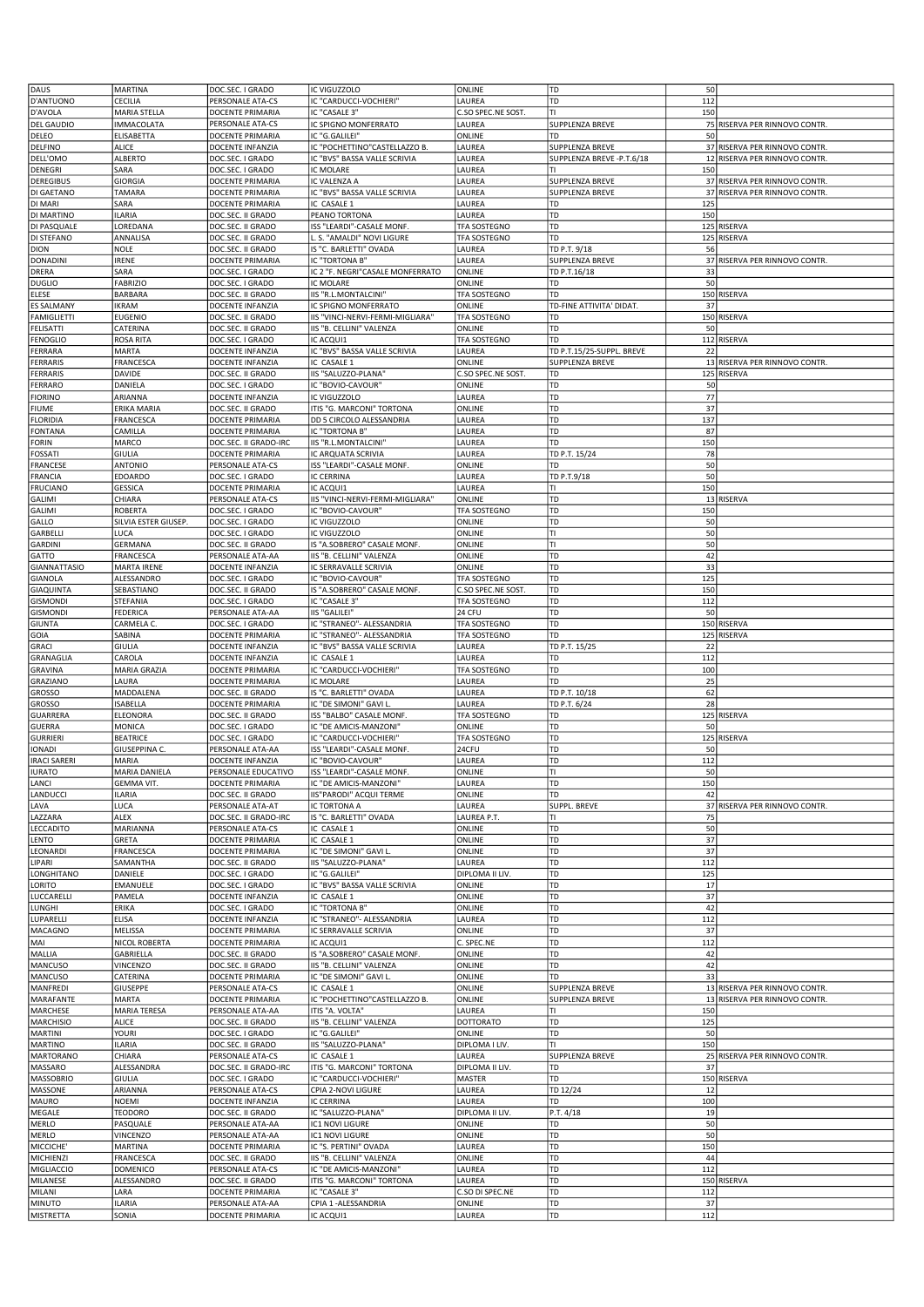| DAUS                | <b>MARTINA</b>           | DOC.SEC. I GRADO                     | IC VIGUZZOLO                                  | ONLINE             | TD                             | 50  |                               |
|---------------------|--------------------------|--------------------------------------|-----------------------------------------------|--------------------|--------------------------------|-----|-------------------------------|
| D'ANTUONO           | CECILIA                  | PERSONALE ATA-CS                     | IC "CARDUCCI-VOCHIERI"                        | LAUREA             | TD                             | 112 |                               |
| D'AVOLA             | MARIA STELLA             | DOCENTE PRIMARIA                     | IC "CASALE 3"                                 | C.SO SPEC.NE SOST. | TΙ                             | 150 |                               |
| <b>DEL GAUDIO</b>   | <b>IMMACOLATA</b>        | PERSONALE ATA-CS                     | IC SPIGNO MONFERRATO                          | LAUREA             | SUPPLENZA BREVE                |     | 75 RISERVA PER RINNOVO CONTR  |
| DELEO               | <b>ELISABETTA</b>        | DOCENTE PRIMARIA                     | IC "G.GALILEI'                                | ONLINE             | TD                             | 50  |                               |
| <b>DELFINO</b>      | <b>ALICE</b>             | DOCENTE INFANZIA                     | IC "POCHETTINO"CASTELLAZZO B.                 | LAUREA             | SUPPLENZA BREVE                |     | 37 RISERVA PER RINNOVO CONTR  |
| DELL'OMO            | <b>ALBERTO</b>           | DOC.SEC. I GRADO                     | IC "BVS" BASSA VALLE SCRIVIA                  | LAUREA             | SUPPLENZA BREVE -P.T.6/18      |     | 12 RISERVA PER RINNOVO CONTR  |
| DENEGRI             | SARA                     | DOC.SEC. I GRADO                     | IC MOLARE                                     | LAUREA             | ΤI                             | 150 |                               |
| <b>DEREGIBUS</b>    | GIORGIA                  | DOCENTE PRIMARIA                     | IC VALENZA A                                  | LAUREA             | SUPPLENZA BREVE                |     | 37 RISERVA PER RINNOVO CONTR  |
| DI GAETANO          | TAMARA                   | DOCENTE PRIMARIA                     | IC "BVS" BASSA VALLE SCRIVIA                  | LAUREA             | SUPPLENZA BREVE                |     | 37 RISERVA PER RINNOVO CONTR  |
| DI MARI             | SARA                     | DOCENTE PRIMARIA                     | IC CASALE 1                                   | LAUREA             | TD                             | 125 |                               |
| DI MARTINO          | ILARIA                   | DOC.SEC. II GRADO                    | PEANO TORTONA                                 | LAUREA             | TD                             | 150 |                               |
| DI PASQUALE         | LOREDANA                 | DOC.SEC. II GRADO                    | ISS "LEARDI"-CASALE MONF.                     | TFA SOSTEGNO       | TD                             |     | 125 RISERVA                   |
| DI STEFANO          | ANNALISA                 | DOC.SEC. II GRADO                    | L. S. "AMALDI" NOVI LIGURE                    | TFA SOSTEGNO       | TD                             |     | 125 RISERVA                   |
| <b>DION</b>         | NOLE                     | DOC.SEC. II GRADO                    | IS "C. BARLETTI" OVADA                        | LAUREA             | TD P.T. 9/18                   | 56  |                               |
| <b>DONADINI</b>     | <b>IRENE</b>             | DOCENTE PRIMARIA                     | IC "TORTONA B"                                | LAUREA             | SUPPLENZA BREVE                |     | 37 RISERVA PER RINNOVO CONTR  |
|                     | SARA                     |                                      |                                               |                    |                                | 33  |                               |
| DRERA               | <b>FABRIZIO</b>          | DOC.SEC. I GRADO<br>DOC.SEC. I GRADO | IC 2 "F. NEGRI"CASALE MONFERRATO<br>IC MOLARE | ONLINE<br>ONLINE   | TD P.T.16/18<br>TD             | 50  |                               |
| <b>DUGLIO</b>       |                          |                                      | IIS "R.L.MONTALCINI"                          | TFA SOSTEGNO       |                                |     |                               |
| ELESE               | <b>BARBARA</b>           | DOC.SEC. II GRADO                    |                                               |                    | TD<br>TD-FINE ATTIVITA' DIDAT. | 37  | 150 RISERVA                   |
| <b>ES SALMANY</b>   | <b>IKRAM</b>             | DOCENTE INFANZIA                     | IC SPIGNO MONFERRATO                          | ONLINE             |                                |     |                               |
| <b>FAMIGLIETTI</b>  | <b>EUGENIO</b>           | DOC.SEC. II GRADO                    | IIS "VINCI-NERVI-FERMI-MIGLIARA"              | TFA SOSTEGNO       | TD                             |     | 150 RISERVA                   |
| FELISATTI           | CATERINA                 | DOC.SEC. II GRADO                    | IIS "B. CELLINI" VALENZA                      | ONLINE             | TD                             | 50  |                               |
| <b>FENOGLIO</b>     | ROSA RITA                | DOC.SEC. I GRADO                     | IC ACQUI1                                     | TFA SOSTEGNO       | TD                             |     | 112 RISERVA                   |
| FERRARA             | MARTA                    | DOCENTE INFANZIA                     | IC "BVS" BASSA VALLE SCRIVIA                  | LAUREA             | TD P.T.15/25-SUPPL. BREVE      | 22  |                               |
| FERRARIS            | FRANCESCA                | DOCENTE INFANZIA                     | IC CASALE 1                                   | ONLINE             | SUPPLENZA BREVE                |     | 13 RISERVA PER RINNOVO CONTR  |
| FERRARIS            | DAVIDE                   | DOC.SEC. II GRADO                    | IIS "SALUZZO-PLANA"                           | C.SO SPEC.NE SOST. | TD                             |     | 125 RISERVA                   |
| FERRARO             | DANIELA                  | DOC.SEC. I GRADO                     | IC "BOVIO-CAVOUR"                             | ONLINE             | TD                             | 50  |                               |
| <b>FIORINO</b>      | ARIANNA                  | DOCENTE INFANZIA                     | IC VIGUZZOLO                                  | LAUREA             | TD                             | 77  |                               |
| <b>FIUME</b>        | ERIKA MARIA              | DOC.SEC. II GRADO                    | ITIS "G. MARCONI" TORTONA                     | ONLINE             | TD                             | 37  |                               |
| <b>FLORIDIA</b>     | FRANCESCA                | DOCENTE PRIMARIA                     | DD 5 CIRCOLO ALESSANDRIA                      | LAUREA             | TD                             | 137 |                               |
| <b>FONTANA</b>      | CAMILLA                  | DOCENTE PRIMARIA                     | IC "TORTONA B"                                | LAUREA             | TD                             | 87  |                               |
| FORIN               | MARCO                    | DOC.SEC. II GRADO-IRC                | IIS "R.L.MONTALCINI"                          | LAUREA             | TD                             | 150 |                               |
| FOSSATI             | <b>GIULIA</b>            | DOCENTE PRIMARIA                     | IC ARQUATA SCRIVIA                            | LAUREA             | TD P.T. 15/24                  | 78  |                               |
| FRANCESE            | <b>ANTONIO</b>           | PERSONALE ATA-CS                     | ISS "LEARDI"-CASALE MONF.                     | ONLINE             | TD                             | 50  |                               |
| <b>FRANCIA</b>      | EDOARDO                  | DOC.SEC. I GRADO                     | <b>IC CERRINA</b>                             | LAUREA             | TD P.T.9/18                    | 50  |                               |
| <b>FRUCIANO</b>     | <b>GESSICA</b>           | DOCENTE PRIMARIA                     | IC ACQUI1                                     | LAUREA             | TI                             | 150 |                               |
| GALIMI              | CHIARA                   | PERSONALE ATA-CS                     | IIS "VINCI-NERVI-FERMI-MIGLIARA"              | ONLINE             | TD                             |     | 13 RISERVA                    |
| GALIMI              | <b>ROBERTA</b>           | DOC.SEC. I GRADO                     | IC "BOVIO-CAVOUR"                             | TFA SOSTEGNO       | TD                             | 150 |                               |
| GALLO               | SILVIA ESTER GIUSEP.     | DOC.SEC. I GRADO                     | IC VIGUZZOLO                                  | ONLINE             | TD                             | 50  |                               |
| GARBELL             | LUCA                     | DOC.SEC. I GRADO                     | IC VIGUZZOLO                                  | ONLINE             | TI                             | 50  |                               |
| <b>GARDINI</b>      | GERMANA                  | DOC.SEC. II GRADO                    | IS "A.SOBRERO" CASALE MONF.                   | ONLINE             | TI                             | 50  |                               |
| GATTO               | FRANCESCA                | PERSONALE ATA-AA                     | IIS "B. CELLINI" VALENZA                      | ONLINE             | TD                             | 42  |                               |
| <b>GIANNATTASIO</b> | <b>MARTA IRENE</b>       | DOCENTE INFANZIA                     | IC SERRAVALLE SCRIVIA                         | ONLINE             | TD                             | 33  |                               |
| <b>GIANOLA</b>      | ALESSANDRO               | DOC.SEC. I GRADO                     | IC "BOVIO-CAVOUR"                             | TFA SOSTEGNO       | TD                             | 125 |                               |
| GIAQUINTA           | SEBASTIANO               | DOC.SEC. II GRADO                    | IS "A.SOBRERO" CASALE MONF.                   | C.SO SPEC.NE SOST. | TD                             | 150 |                               |
| <b>GISMONDI</b>     | STEFANIA                 | DOC.SEC. I GRADO                     | IC "CASALE 3"                                 | TFA SOSTEGNO       | TD                             | 112 |                               |
| <b>GISMONDI</b>     | FEDERICA                 | PERSONALE ATA-AA                     | IIS "GALILEI"                                 | 24 CFU             | TD                             | 50  |                               |
| <b>GIUNTA</b>       | CARMELA C.               | DOC.SEC. I GRADO                     | IC "STRANEO" - ALESSANDRIA                    | TFA SOSTEGNO       | TD                             |     | 150 RISERVA                   |
| GOIA                | SABINA                   | DOCENTE PRIMARIA                     | IC "STRANEO"- ALESSANDRIA                     | TFA SOSTEGNO       | TD                             |     | 125 RISERVA                   |
| GRACI               | GIULIA                   | DOCENTE INFANZIA                     | IC "BVS" BASSA VALLE SCRIVIA                  | LAUREA             | TD P.T. 15/25                  | 22  |                               |
| GRANAGLIA           | CAROLA                   | DOCENTE INFANZIA                     | IC CASALE 1                                   | LAUREA             | TD                             | 112 |                               |
| <b>GRAVINA</b>      | MARIA GRAZIA             | DOCENTE PRIMARIA                     | IC "CARDUCCI-VOCHIERI"                        | TFA SOSTEGNO       | TD                             | 100 |                               |
| GRAZIANO            | LAURA                    | DOCENTE PRIMARIA                     | IC MOLARE                                     | LAUREA             | TD                             | 25  |                               |
| <b>GROSSO</b>       | MADDALENA                | DOC.SEC. II GRADO                    | IS "C. BARLETTI" OVADA                        | LAUREA             | TD P.T. 10/18                  | 62  |                               |
| <b>GROSSO</b>       | ISABELLA                 | DOCENTE PRIMARIA                     | IC "DE SIMONI" GAVI L                         | LAUREA             | TD P.T. 6/24                   | 28  |                               |
| <b>GUARRERA</b>     | ELEONORA                 | DOC.SEC. II GRADO                    | ISS "BALBO" CASALE MONF.                      | TFA SOSTEGNO       | TD                             |     | 125 RISERVA                   |
| <b>GUERRA</b>       | MONICA                   | DOC.SEC. I GRADO                     | IC "DE AMICIS-MANZONI"                        | ONLINE             | TD                             | 50  |                               |
| <b>GURRIERI</b>     | <b>BEATRICE</b>          | DOC.SEC. I GRADO                     | IC "CARDUCCI-VOCHIERI"                        | TFA SOSTEGNO       | TD                             |     | 125 RISERVA                   |
| <b>IONADI</b>       | GIUSEPPINA C.            | PERSONALE ATA-AA                     | ISS "LEARDI"-CASALE MONF.                     | 24CFU              | TD                             | 50  |                               |
| <b>IRACI SARERI</b> | MARIA                    | DOCENTE INFANZIA                     | IC "BOVIO-CAVOUR"                             | LAUREA             | TD                             | 112 |                               |
| <b>IURATO</b>       | MARIA DANIELA            | PERSONALE EDUCATIVO                  | ISS "LEARDI"-CASALE MONF.                     | ONLINE             | TI                             | 50  |                               |
| LANCI               | GEMMA VIT.               | DOCENTE PRIMARIA                     | IC "DE AMICIS-MANZONI"                        | LAUREA             | TD                             | 150 |                               |
| LANDUCCI            | <b>ILARIA</b>            | DOC.SEC. II GRADO                    | IIS"PARODI" ACQUI TERME                       | ONLINE             | TD                             | 42  |                               |
| LAVA                | LUCA                     | PERSONALE ATA-AT                     | IC TORTONA A                                  | LAUREA             | SUPPL. BREVE                   |     | 37 RISERVA PER RINNOVO CONTR. |
| LAZZARA             | ALEX                     | DOC.SEC. II GRADO-IRC                | IS "C. BARLETTI" OVADA                        | LAUREA P.T.        | TI                             | 75  |                               |
| LECCADITO           | MARIANNA                 | PERSONALE ATA-CS                     | IC CASALE 1                                   | ONLINE             | TD                             | 50  |                               |
| LENTO               | GRETA                    | DOCENTE PRIMARIA                     | IC CASALE 1                                   | ONLINE             | TD                             | 37  |                               |
| LEONARDI            | FRANCESCA                | DOCENTE PRIMARIA                     | IC "DE SIMONI" GAVI L                         | ONLINE             | TD                             | 37  |                               |
| LIPARI              | SAMANTHA                 | DOC.SEC. II GRADO                    | IIS "SALUZZO-PLANA"                           | LAUREA             | TD                             | 112 |                               |
| LONGHITANO          | DANIELE                  | DOC.SEC. I GRADO                     | IC "G.GALILEI"                                | DIPLOMA II LIV.    | TD                             | 125 |                               |
| LORITO              | EMANUELE                 | DOC.SEC. I GRADO                     | IC "BVS" BASSA VALLE SCRIVIA                  | ONLINE             | TD                             | 17  |                               |
| LUCCARELLI          | PAMELA                   | DOCENTE INFANZIA                     | IC CASALE 1                                   | ONLINE             | TD                             | 37  |                               |
| LUNGHI              | ERIKA                    | DOC.SEC. I GRADO                     | IC "TORTONA B"                                | ONLINE             | TD                             | 42  |                               |
| LUPARELLI           | <b>ELISA</b>             |                                      |                                               | LAUREA             | TD                             | 112 |                               |
|                     |                          | DOCENTE INFANZIA                     | IC "STRANEO" - ALESSANDRIA                    |                    | TD                             | 37  |                               |
| MACAGNO             | MELISSA<br>NICOL ROBERTA | DOCENTE PRIMARIA                     | IC SERRAVALLE SCRIVIA<br>IC ACQUI1            | ONLINE             | TD                             |     |                               |
| MAI                 | GABRIELLA                | DOCENTE PRIMARIA                     |                                               | C. SPEC.NE         |                                | 112 |                               |
| MALLIA              |                          | DOC.SEC. II GRADO                    | IS "A.SOBRERO" CASALE MONF.                   | ONLINE             | TD                             | 42  |                               |
| <b>MANCUSO</b>      | VINCENZO                 | DOC.SEC. II GRADO                    | IIS "B. CELLINI" VALENZA                      | ONLINE             | TD                             | 42  |                               |
| <b>MANCUSO</b>      | CATERINA                 | DOCENTE PRIMARIA                     | IC "DE SIMONI" GAVI L.                        | ONLINE             | TD                             | 33  |                               |
| MANFREDI            | GIUSEPPE                 | PERSONALE ATA-CS                     | IC CASALE 1                                   | ONLINE             | SUPPLENZA BREVE                |     | 13 RISERVA PER RINNOVO CONTR. |
| MARAFANTE           | <b>MARTA</b>             | DOCENTE PRIMARIA                     | IC "POCHETTINO"CASTELLAZZO B.                 | ONLINE             | SUPPLENZA BREVE                |     | 13 RISERVA PER RINNOVO CONTR. |
| MARCHESE            | <b>MARIA TERESA</b>      | PERSONALE ATA-AA                     | ITIS "A. VOLTA"                               | LAUREA             | TI                             | 150 |                               |
| <b>MARCHISIO</b>    | <b>ALICE</b>             | DOC.SEC. II GRADO                    | IIS "B. CELLINI" VALENZA                      | DOTTORATO          | TD                             | 125 |                               |
| <b>MARTINI</b>      | YOURI                    | DOC.SEC. I GRADO                     | IC "G.GALILEI"                                | ONLINE             | TD                             | 50  |                               |
| <b>MARTINO</b>      | <b>ILARIA</b>            | DOC.SEC. II GRADO                    | IIS "SALUZZO-PLANA"                           | DIPLOMA I LIV.     | TI                             | 150 |                               |
| <b>MARTORANO</b>    | CHIARA                   | PERSONALE ATA-CS                     | IC CASALE 1                                   | LAUREA             | SUPPLENZA BREVE                |     | 25 RISERVA PER RINNOVO CONTR  |
| MASSARO             | ALESSANDRA               | DOC.SEC. II GRADO-IRC                | ITIS "G. MARCONI" TORTONA                     | DIPLOMA II LIV.    | TD                             | 37  |                               |
| MASSOBRIO           | <b>GIULIA</b>            | DOC.SEC. I GRADO                     | IC "CARDUCCI-VOCHIERI"                        | MASTER             | TD                             |     | 150 RISERVA                   |
| MASSONE             | ARIANNA                  | PERSONALE ATA-CS                     | CPIA 2-NOVI LIGURE                            | LAUREA             | TD 12/24                       | 12  |                               |
| <b>MAURO</b>        | <b>NOEMI</b>             | DOCENTE INFANZIA                     | IC CERRINA                                    | LAUREA             | TD                             | 100 |                               |
| MEGALE              | TEODORO                  | DOC.SEC. II GRADO                    | IC "SALUZZO-PLANA"                            | DIPLOMA II LIV.    | P.T. 4/18                      | 19  |                               |
| <b>MERLO</b>        | PASQUALE                 | PERSONALE ATA-AA                     | IC1 NOVI LIGURE                               | ONLINE             | TD                             | 50  |                               |
| <b>MERLO</b>        | VINCENZO                 | PERSONALE ATA-AA                     | IC1 NOVI LIGURE                               | ONLINE             | TD                             | 50  |                               |
| MICCICHE'           | MARTINA                  | DOCENTE PRIMARIA                     | IC "S. PERTINI" OVADA                         | LAUREA             | TD                             | 150 |                               |
| <b>MICHIENZI</b>    | FRANCESCA                | DOC.SEC. II GRADO                    | IIS "B. CELLINI" VALENZA                      | ONLINE             | TD                             | 44  |                               |
| MIGLIACCIO          | DOMENICO                 | PERSONALE ATA-CS                     | IC "DE AMICIS-MANZONI"                        | LAUREA             | TD                             | 112 |                               |
| MILANESE            | ALESSANDRO               | DOC.SEC. II GRADO                    | ITIS "G. MARCONI" TORTONA                     | LAUREA             | TD                             |     | 150 RISERVA                   |
| MILANI              | LARA                     | DOCENTE PRIMARIA                     | IC "CASALE 3"                                 | C.SO DI SPEC.NE    | TD                             | 112 |                               |
| <b>MINUTO</b>       | <b>ILARIA</b>            | PERSONALE ATA-AA                     | CPIA 1-ALESSANDRIA                            | ONLINE             | TD                             | 37  |                               |
| <b>MISTRETTA</b>    | SONIA                    | DOCENTE PRIMARIA                     | IC ACQUI1                                     | LAUREA             | TD                             | 112 |                               |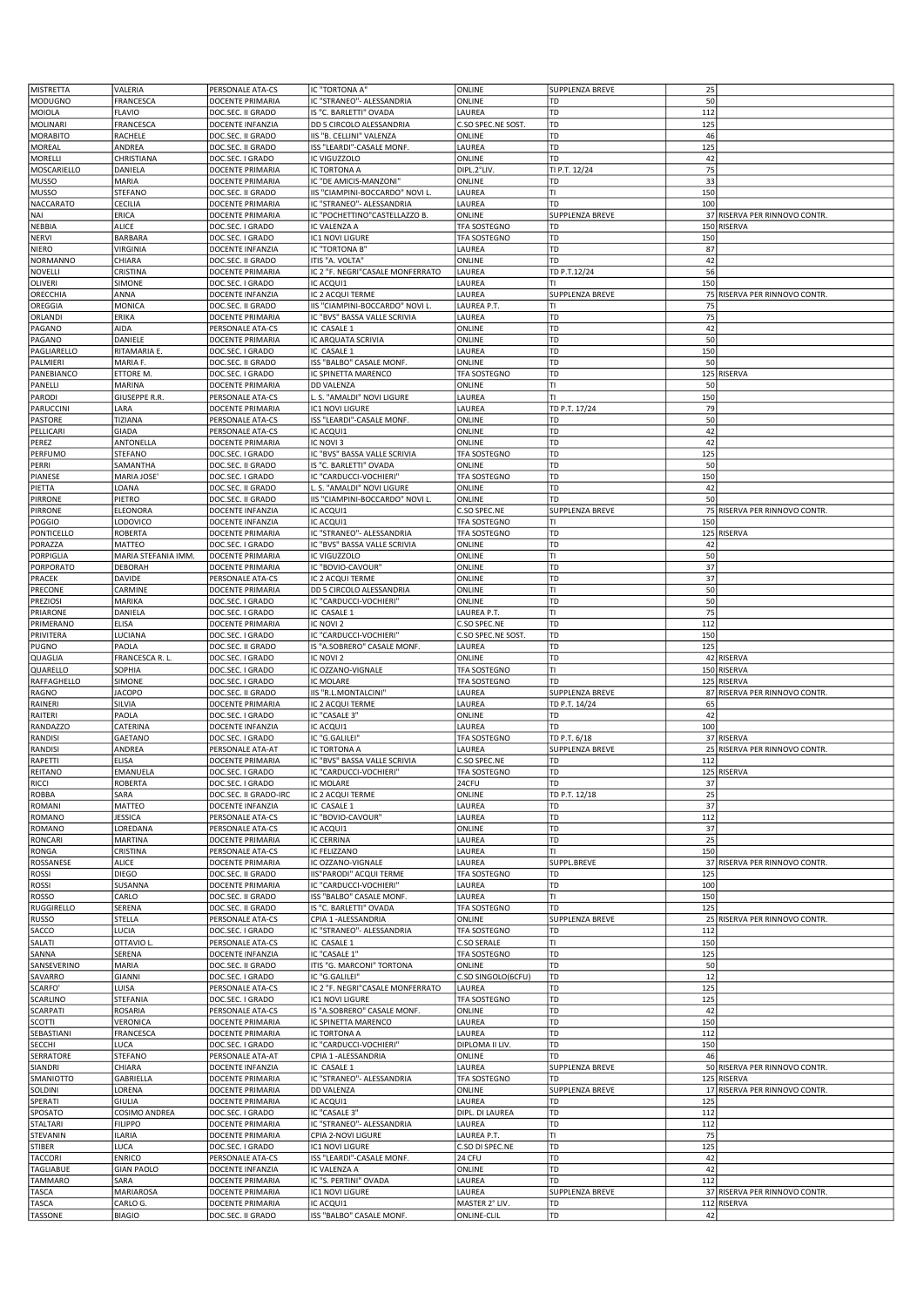| <b>MISTRETTA</b>         | VALERIA              | PERSONALE ATA-CS        | IC "TORTONA A"                   | ONLINE                              | SUPPLENZA BREVE        | 25  |                               |
|--------------------------|----------------------|-------------------------|----------------------------------|-------------------------------------|------------------------|-----|-------------------------------|
| <b>MODUGNO</b>           | FRANCESCA            | DOCENTE PRIMARIA        | IC "STRANEO" - ALESSANDRIA       | ONLINE                              | TD                     | 50  |                               |
| MOIOLA                   | <b>FLAVIO</b>        | DOC.SEC. II GRADO       | IS "C. BARLETTI" OVADA           | LAUREA                              | TD                     | 112 |                               |
| <b>MOLINARI</b>          | FRANCESCA            | DOCENTE INFANZIA        | DD 5 CIRCOLO ALESSANDRIA         | C.SO SPEC.NE SOST.                  | TD                     | 125 |                               |
| <b>MORABITO</b>          | RACHELE              | DOC.SEC. II GRADO       | IIS "B. CELLINI" VALENZA         | ONLINE                              | TD                     | 46  |                               |
| MOREAL                   | ANDREA               | DOC.SEC. II GRADO       | ISS "LEARDI"-CASALE MONF.        | LAUREA                              | TD                     | 125 |                               |
| MORELLI                  | CHRISTIANA           | DOC.SEC. I GRADO        | IC VIGUZZOLO                     | ONLINE                              | <b>TD</b>              | 42  |                               |
| MOSCARIELLO              | DANIELA              | DOCENTE PRIMARIA        | IC TORTONA A                     | DIPL.2°LIV                          | TI P.T. 12/24          | 75  |                               |
| <b>MUSSO</b>             | MARIA                | DOCENTE PRIMARIA        | IC "DE AMICIS-MANZONI"           | ONLINE                              | TD                     | 33  |                               |
| <b>MUSSO</b>             | STEFANO              | DOC.SEC. II GRADO       | IIS "CIAMPINI-BOCCARDO" NOVI L.  | LAUREA                              | Π                      | 150 |                               |
| <b>NACCARATO</b>         | CECILIA              | DOCENTE PRIMARIA        | IC "STRANEO"- ALESSANDRIA        | LAUREA                              | l TD                   | 100 |                               |
| NAI                      | ERICA                | DOCENTE PRIMARIA        | IC "POCHETTINO"CASTELLAZZO B.    | ONLINE                              | <b>SUPPLENZA BREVE</b> |     | 37 RISERVA PER RINNOVO CONTR  |
| NEBBIA                   | ALICE                | DOC.SEC. I GRADO        | IC VALENZA A                     | <b>TFA SOSTEGNO</b>                 | TD                     |     | 150 RISERVA                   |
| <b>NERVI</b>             | BARBARA              | DOC.SEC. I GRADO        | IC1 NOVI LIGURE                  | TFA SOSTEGNO                        | TD                     | 150 |                               |
| <b>NIERO</b>             | <b>VIRGINIA</b>      | DOCENTE INFANZIA        | IC "TORTONA B'                   | LAUREA                              | TD                     | 87  |                               |
| NORMANNO                 | CHIARA               | DOC.SEC. II GRADO       | ITIS "A. VOLTA"                  | ONLINE                              | <b>TD</b>              | 42  |                               |
| NOVELLI                  | CRISTINA             | DOCENTE PRIMARIA        | IC 2 "F. NEGRI"CASALE MONFERRATO | LAUREA                              | TD P.T.12/24           | 56  |                               |
| OLIVERI                  | SIMONE               | DOC.SEC. I GRADO        | IC ACQUI1                        | LAUREA                              | lтı                    | 150 |                               |
| ORECCHIA                 | ANNA                 | DOCENTE INFANZIA        | IC 2 ACQUI TERME                 | LAUREA                              | SUPPLENZA BREVE        |     | 75 RISERVA PER RINNOVO CONTR. |
| OREGGIA                  | MONICA               | DOC.SEC. II GRADO       | IIS "CIAMPINI-BOCCARDO" NOVI L.  | LAUREA P.T.                         | lтı                    | 75  |                               |
| ORLANDI                  | ERIKA                | DOCENTE PRIMARIA        | IC "BVS" BASSA VALLE SCRIVIA     | LAUREA                              | TD                     | 75  |                               |
| PAGANO                   | AIDA                 | PERSONALE ATA-CS        | IC CASALE 1                      | ONLINE                              | TD                     | 42  |                               |
| PAGANO                   | DANIELE              | DOCENTE PRIMARIA        | IC ARQUATA SCRIVIA               | ONLINE                              | TD                     | 50  |                               |
| PAGLIARELLO              | RITAMARIA E.         | DOC.SEC. I GRADO        | IC CASALE 1                      | LAUREA                              | TD                     | 150 |                               |
| PALMIERI                 | MARIA F.             | DOC.SEC. II GRADO       | ISS "BALBO" CASALE MONF.         | ONLINE                              | TD                     | 50  |                               |
| PANEBIANCO               | ETTORE M.            | DOC.SEC. I GRADO        | IC SPINETTA MARENCO              | TFA SOSTEGNO                        | TD                     |     | 125 RISERVA                   |
| PANELLI                  | MARINA               | DOCENTE PRIMARIA        | <b>DD VALENZA</b>                | ONLINE                              | lтı                    | 50  |                               |
| PARODI                   | GIUSEPPE R.R.        | PERSONALE ATA-CS        | L. S. "AMALDI" NOVI LIGURE       | LAUREA                              | TI                     | 150 |                               |
| PARUCCINI                | LARA                 | DOCENTE PRIMARIA        | <b>IC1 NOVI LIGURE</b>           | LAUREA                              | TD P.T. 17/24          | 79  |                               |
| PASTORE                  | TIZIANA              | PERSONALE ATA-CS        | ISS "LEARDI"-CASALE MONF.        | ONLINE                              | TD                     | 50  |                               |
| PELLICARI                | GIADA                | PERSONALE ATA-CS        | IC ACQUI1                        | ONLINE                              | TD                     | 42  |                               |
| PEREZ                    | ANTONELLA            | DOCENTE PRIMARIA        | IC NOVI 3                        | ONLINE                              | TD                     | 42  |                               |
| PERFUMO                  | STEFANO              | DOC.SEC. I GRADO        | IC "BVS" BASSA VALLE SCRIVIA     | TFA SOSTEGNO                        | TD                     | 125 |                               |
| PERRI                    | SAMANTHA             | DOC.SEC. II GRADO       | IS "C. BARLETTI" OVADA           | ONLINE                              | TD                     | 50  |                               |
| PIANESE                  | MARIA JOSE'          | DOC.SEC. I GRADO        | IC "CARDUCCI-VOCHIERI"           | TFA SOSTEGNO                        | TD                     | 150 |                               |
| PIETTA                   | LOANA                | DOC.SEC. II GRADO       | L. S. "AMALDI" NOVI LIGURE       | ONLINE                              | TD                     | 42  |                               |
| <b>PIRRONE</b>           | PIETRO               | DOC.SEC. II GRADO       | IIS "CIAMPINI-BOCCARDO" NOVI L.  | ONLINE                              | TD                     | 50  |                               |
|                          |                      | DOCENTE INFANZIA        | IC ACQUI1                        |                                     | <b>SUPPLENZA BREVE</b> |     |                               |
| <b>PIRRONE</b><br>POGGIO | ELEONORA<br>LODOVICO | DOCENTE INFANZIA        | IC ACQUI1                        | C.SO SPEC.NE<br><b>TFA SOSTEGNO</b> | lтı                    | 150 | 75 RISERVA PER RINNOVO CONTR  |
|                          |                      |                         |                                  |                                     |                        |     |                               |
| PONTICELLO               | <b>ROBERTA</b>       | DOCENTE PRIMARIA        | IC "STRANEO"- ALESSANDRIA        | TFA SOSTEGNO                        | TD<br>TD               |     | 125 RISERVA                   |
| PORAZZA                  | MATTEO               | DOC.SEC. I GRADO        | IC "BVS" BASSA VALLE SCRIVIA     | ONLINE                              |                        | 42  |                               |
| PORPIGLIA                | MARIA STEFANIA IMM.  | DOCENTE PRIMARIA        | IC VIGUZZOLO                     | ONLINE                              | Π<br>l TD              | 50  |                               |
| PORPORATO                | DEBORAH              | DOCENTE PRIMARIA        | IC "BOVIO-CAVOUR"                | ONLINE                              |                        | 37  |                               |
| PRACEK                   | DAVIDE               | PERSONALE ATA-CS        | IC 2 ACQUI TERME                 | ONLINE                              | TD                     | 37  |                               |
| PRECONE                  | CARMINE              | DOCENTE PRIMARIA        | DD 5 CIRCOLO ALESSANDRIA         | ONLINE                              | lτι                    | 50  |                               |
| <b>PREZIOSI</b>          | MARIKA               | DOC.SEC. I GRADO        | IC "CARDUCCI-VOCHIERI"           | ONLINE                              | TD                     | 50  |                               |
| PRIARONE                 | DANIELA              | DOC.SEC. I GRADO        | IC CASALE 1                      | LAUREA P.T.                         | lτι                    | 75  |                               |
| PRIMERANO                | ELISA                | DOCENTE PRIMARIA        | IC NOVI 2                        | C.SO SPEC.NE                        | TD                     | 112 |                               |
| PRIVITERA                | LUCIANA              | DOC.SEC. I GRADO        | IC "CARDUCCI-VOCHIERI"           | C.SO SPEC.NE SOST.                  | TD                     | 150 |                               |
|                          |                      |                         |                                  |                                     |                        |     |                               |
| PUGNO                    | PAOLA                | DOC.SEC. II GRADO       | IS "A.SOBRERO" CASALE MONF.      | LAUREA                              | TD                     | 125 |                               |
| QUAGLIA                  | FRANCESCA R. L.      | DOC.SEC. I GRADO        | IC NOVI 2                        | ONLINE                              | <b>TD</b>              |     | 42 RISERVA                    |
| QUARELLO                 | SOPHIA               | DOC.SEC. I GRADO        | IC OZZANO-VIGNALE                | TFA SOSTEGNO                        | lτı                    |     | 150 RISERVA                   |
| RAFFAGHELLO              | SIMONE               | DOC.SEC. I GRADO        | <b>IC MOLARE</b>                 | TFA SOSTEGNO                        | TD                     |     | 125 RISERVA                   |
| RAGNO                    | <b>JACOPO</b>        | DOC.SEC. II GRADO       | IIS "R.L.MONTALCINI"             | LAUREA                              | <b>SUPPLENZA BREVE</b> |     | 87 RISERVA PER RINNOVO CONTR  |
| RAINERI                  | SILVIA               | DOCENTE PRIMARIA        | IC 2 ACQUI TERME                 | LAUREA                              | TD P.T. 14/24          | 65  |                               |
| RAITERI                  | PAOLA                | DOC.SEC. I GRADO        | IC "CASALE 3"                    | ONLINE                              | TD                     | 42  |                               |
| RANDAZZO                 | CATERINA             | DOCENTE INFANZIA        | IC ACQUI1                        | LAUREA                              | TD                     | 100 |                               |
| RANDISI                  | GAETANO              | DOC.SEC. I GRADO        | IC "G.GALILEI"                   | TFA SOSTEGNO                        | TD P.T. 6/18           |     | 37 RISERVA                    |
| RANDISI                  | ANDREA               | PERSONALE ATA-AT        | IC TORTONA A                     | LAUREA                              | SUPPLENZA BREVE        |     | 25 RISERVA PER RINNOVO CONTR. |
| RAPETTI                  | ELISA                | DOCENTE PRIMARIA        | IC "BVS" BASSA VALLE SCRIVIA     | C.SO SPEC.NE                        | TD                     | 112 |                               |
| <b>REITANO</b>           | EMANUELA             | DOC.SEC. I GRADO        | IC "CARDUCCI-VOCHIERI"           | <b>TFA SOSTEGNO</b>                 | 1 TD                   |     | 125 RISERVA                   |
| <b>RICCI</b>             | ROBERTA              | DOC.SEC. I GRADO        | IC MOLARE                        | 24CFU                               | TD                     | 37  |                               |
| <b>ROBBA</b>             | SARA                 | DOC.SEC. II GRADO-IRC   | IC 2 ACQUI TERME                 | ONLINE                              | TD P.T. 12/18          | 25  |                               |
| ROMANI                   | <b>MATTEO</b>        | DOCENTE INFANZIA        | IC CASALE 1                      | LAUREA                              | TD                     | 37  |                               |
| <b>ROMANO</b>            | JESSICA              | PERSONALE ATA-CS        | IC "BOVIO-CAVOUR"                | LAUREA                              | TD                     | 112 |                               |
| <b>ROMANO</b>            | LOREDANA             | PERSONALE ATA-CS        | IC ACQUI1                        | ONLINE                              | TD                     | 37  |                               |
| <b>RONCARI</b>           | MARTINA              | DOCENTE PRIMARIA        | <b>IC CERRINA</b>                | LAUREA                              | TD                     | 25  |                               |
| RONGA                    | CRISTINA             | PERSONALE ATA-CS        | IC FELIZZANO                     | LAUREA                              | lтı                    | 150 |                               |
| ROSSANESE                | <b>ALICE</b>         | DOCENTE PRIMARIA        | IC OZZANO-VIGNALE                | LAUREA                              | SUPPL.BREVE            |     | 37 RISERVA PER RINNOVO CONTR. |
| ROSSI                    | <b>DIEGO</b>         | DOC.SEC. II GRADO       | IIS"PARODI" ACQUI TERME          | TFA SOSTEGNO                        | TD                     | 125 |                               |
| <b>ROSSI</b>             | SUSANNA              | <b>DOCENTE PRIMARIA</b> | IC "CARDUCCI-VOCHIERI"           | LAUREA                              | TD                     | 100 |                               |
| ROSSO                    | CARLO                | DOC.SEC. II GRADO       | ISS "BALBO" CASALE MONF.         | LAUREA                              | Iτι                    | 150 |                               |
| RUGGIRELLO               | SERENA               | DOC.SEC. II GRADO       | IS "C. BARLETTI" OVADA           | TFA SOSTEGNO                        | TD                     | 125 |                               |
| <b>RUSSO</b>             | STELLA               | PERSONALE ATA-CS        | CPIA 1 - ALESSANDRIA             | ONLINE                              | <b>SUPPLENZA BREVE</b> |     | 25 RISERVA PER RINNOVO CONTR  |
| SACCO                    | LUCIA                | DOC.SEC. I GRADO        | IC "STRANEO" - ALESSANDRIA       | TFA SOSTEGNO                        | TD                     | 112 |                               |
| SALATI                   | OTTAVIO L            | PERSONALE ATA-CS        | IC CASALE 1                      | <b>C.SO SERALE</b>                  | lτι                    | 150 |                               |
| SANNA                    | SERENA               | DOCENTE INFANZIA        | IC "CASALE 1"                    | <b>TFA SOSTEGNO</b>                 | TD                     | 125 |                               |
| SANSEVERINO              | MARIA                | DOC.SEC. II GRADO       | ITIS "G. MARCONI" TORTONA        | ONLINE                              | TD                     | 50  |                               |
| SAVARRO                  | <b>GIANNI</b>        | DOC.SEC. I GRADO        | IC "G.GALILEI"                   | C.SO SINGOLO(6CFU)                  | TD                     | 12  |                               |
| SCARFO'                  | LUISA                | PERSONALE ATA-CS        | IC 2 "F. NEGRI"CASALE MONFERRATO | LAUREA                              | <b>TD</b>              | 125 |                               |
| SCARLINO                 | STEFANIA             | DOC.SEC. I GRADO        | IC1 NOVI LIGURE                  | <b>TFA SOSTEGNO</b>                 | TD                     | 125 |                               |
| <b>SCARPATI</b>          | ROSARIA              | PERSONALE ATA-CS        | IS "A.SOBRERO" CASALE MONF.      | ONLINE                              | TD                     | 42  |                               |
| SCOTTI                   | VERONICA             | DOCENTE PRIMARIA        | IC SPINETTA MARENCO              | LAUREA                              | TD                     | 150 |                               |
| SEBASTIANI               | FRANCESCA            | DOCENTE PRIMARIA        | IC TORTONA A                     | LAUREA                              | TD                     | 112 |                               |
| SECCHI                   | LUCA                 | DOC.SEC. I GRADO        | IC "CARDUCCI-VOCHIERI"           | DIPLOMA II LIV.                     | <b>TD</b>              | 150 |                               |
| SERRATORE                | STEFANO              | PERSONALE ATA-AT        | CPIA 1-ALESSANDRIA               | ONLINE                              | TD                     | 46  |                               |
| SIANDRI                  | CHIARA               | DOCENTE INFANZIA        | IC CASALE 1                      | LAUREA                              | SUPPLENZA BREVE        |     | 50 RISERVA PER RINNOVO CONTR. |
| SMANIOTTO                | GABRIELLA            | DOCENTE PRIMARIA        | IC "STRANEO" - ALESSANDRIA       | TFA SOSTEGNO                        | TD                     |     | 125 RISERVA                   |
| SOLDINI                  | LORENA               | DOCENTE PRIMARIA        | <b>DD VALENZA</b>                | ONLINE                              | SUPPLENZA BREVE        |     | 17 RISERVA PER RINNOVO CONTR. |
| SPERATI                  | GIULIA               | DOCENTE PRIMARIA        | IC ACQUI1                        | LAUREA                              | TD                     | 125 |                               |
| SPOSATO                  | COSIMO ANDREA        | DOC.SEC. I GRADO        | IC "CASALE 3"                    | DIPL. DI LAUREA                     | TD                     | 112 |                               |
| STALTARI                 | <b>FILIPPO</b>       | DOCENTE PRIMARIA        | IC "STRANEO" - ALESSANDRIA       | LAUREA                              | TD                     | 112 |                               |
| STEVANIN                 | <b>ILARIA</b>        | DOCENTE PRIMARIA        | CPIA 2-NOVI LIGURE               | LAUREA P.T.                         | lτι                    | 75  |                               |
| STIBER                   | LUCA                 | DOC.SEC. I GRADO        | IC1 NOVI LIGURE                  | C.SO DI SPEC.NE                     | 1 TD                   | 125 |                               |
| <b>TACCORI</b>           | ENRICO               | PERSONALE ATA-CS        | ISS "LEARDI"-CASALE MONF.        | 24 CFU                              | TD                     | 42  |                               |
| TAGLIABUE                | <b>GIAN PAOLO</b>    | DOCENTE INFANZIA        | IC VALENZA A                     | ONLINE                              | TD                     | 42  |                               |
| <b>TAMMARO</b>           | SARA                 | DOCENTE PRIMARIA        | IC "S. PERTINI" OVADA            | LAUREA                              | TD                     | 112 |                               |
| TASCA                    | MARIAROSA            | DOCENTE PRIMARIA        | IC1 NOVI LIGURE                  | LAUREA                              | <b>SUPPLENZA BREVE</b> |     | 37 RISERVA PER RINNOVO CONTR. |
| TASCA                    | CARLO G.             | DOCENTE PRIMARIA        | IC ACQUI1                        | MASTER 2° LIV.                      | TD                     |     | 112 RISERVA                   |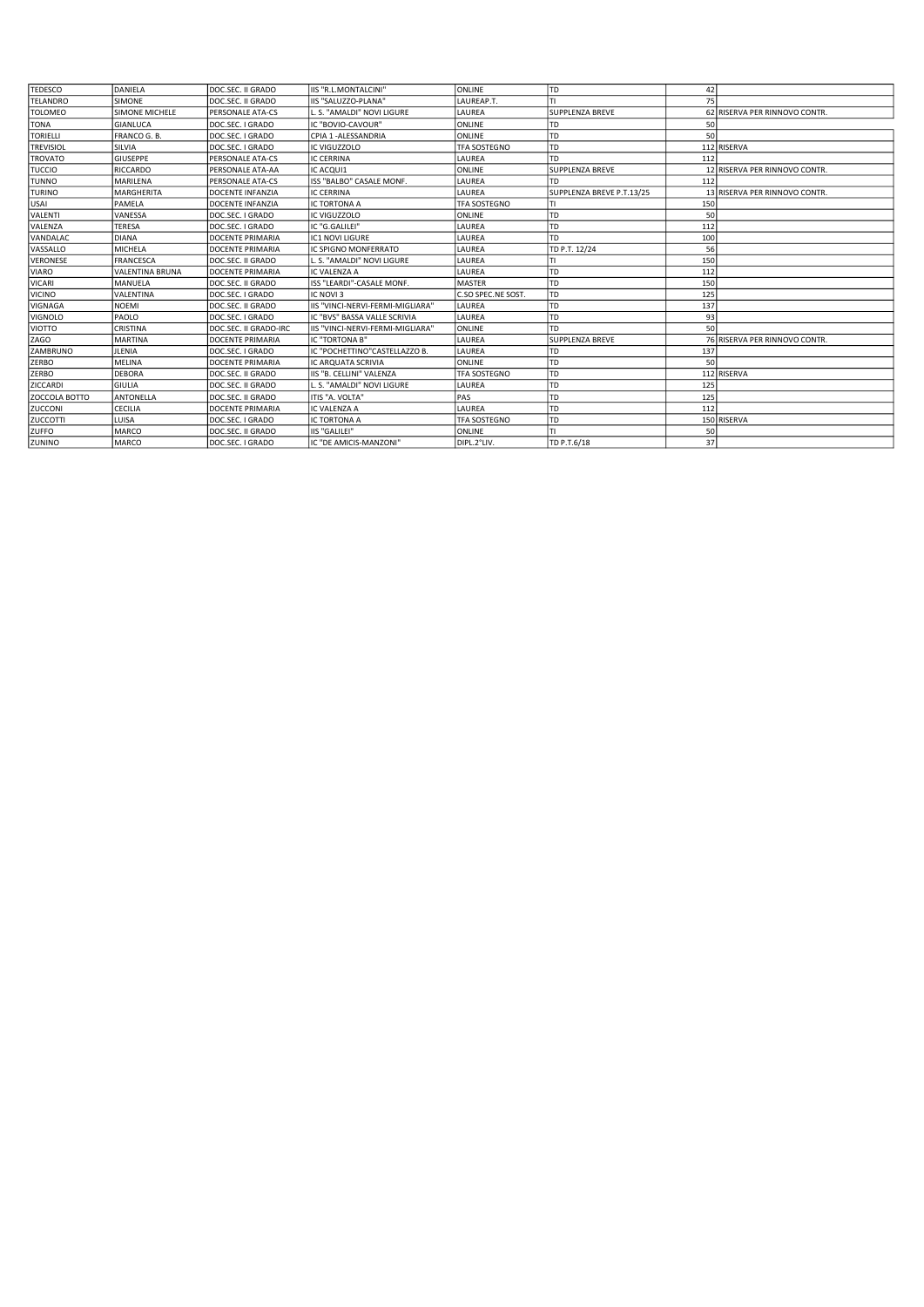| <b>TEDESCO</b>   | DANIFLA                | DOC.SEC. II GRADO       | IIS "R.L.MONTALCINI"             | <b>ONLINE</b>       | l TD                      | 42  |                               |
|------------------|------------------------|-------------------------|----------------------------------|---------------------|---------------------------|-----|-------------------------------|
| <b>TELANDRO</b>  | <b>SIMONE</b>          | DOC.SEC. II GRADO       | IIS "SALUZZO-PLANA"              | LAUREAP.T.          |                           | 75  |                               |
| <b>TOLOMEO</b>   | SIMONE MICHELE         | PERSONALE ATA-CS        | L. S. "AMALDI" NOVI LIGURE       | LAUREA              | <b>SUPPLENZA BREVE</b>    |     | 62 RISERVA PER RINNOVO CONTR. |
| <b>TONA</b>      | <b>GIANLUCA</b>        | DOC.SEC. I GRADO        | IC "BOVIO-CAVOUR"                | <b>ONLINE</b>       | TD                        | 50  |                               |
| <b>TORIELLI</b>  | FRANCO G. B.           | DOC.SEC. I GRADO        | CPIA 1 - ALESSANDRIA             | <b>ONLINE</b>       | <b>TD</b>                 | 50  |                               |
| <b>TREVISIOL</b> | SILVIA                 | DOC.SEC. I GRADO        | IC VIGUZZOLO                     | TFA SOSTEGNO        | <b>TD</b>                 |     | 112 RISERVA                   |
| <b>TROVATO</b>   | <b>GIUSEPPE</b>        | <b>PERSONALE ATA-CS</b> | IC CERRINA                       | LAUREA              | TD                        | 112 |                               |
| TUCCIO           | <b>RICCARDO</b>        | PERSONALE ATA-AA        | IC ACQUI1                        | <b>ONLINE</b>       | <b>SUPPLENZA BREVE</b>    |     | 12 RISERVA PER RINNOVO CONTR. |
| <b>TUNNO</b>     | <b>MARILENA</b>        | <b>PERSONALE ATA-CS</b> | ISS "BALBO" CASALE MONF.         | LAUREA              | TD                        | 112 |                               |
| <b>TURINO</b>    | <b>MARGHERITA</b>      | DOCENTE INFANZIA        | IC CERRINA                       | LAUREA              | SUPPLENZA BREVE P.T.13/25 |     | 13 RISERVA PER RINNOVO CONTR. |
| USAI             | PAMELA                 | DOCENTE INFANZIA        | IC TORTONA A                     | TFA SOSTEGNO        |                           | 150 |                               |
| VALENTI          | VANESSA                | DOC.SEC. I GRADO        | IC VIGUZZOLO                     | <b>ONLINE</b>       | TD                        | 50  |                               |
| <b>VALENZA</b>   | <b>TERESA</b>          | DOC.SEC. I GRADO        | IC "G.GALILEI"                   | LAUREA              | TD                        | 112 |                               |
| VANDALAC         | <b>DIANA</b>           | <b>DOCENTE PRIMARIA</b> | IC1 NOVI LIGURE                  | LAUREA              | <b>TD</b>                 | 100 |                               |
| VASSALLO         | <b>MICHELA</b>         | DOCENTE PRIMARIA        | IC SPIGNO MONFERRATO             | LAUREA              | TD P.T. 12/24             | 56  |                               |
| <b>VERONESE</b>  | <b>FRANCESCA</b>       | DOC.SEC. II GRADO       | S. "AMALDI" NOVI LIGURE          | LAUREA              |                           | 150 |                               |
| <b>VIARO</b>     | <b>VALENTINA BRUNA</b> | DOCENTE PRIMARIA        | IC VALENZA A                     | LAUREA              | <b>TD</b>                 | 112 |                               |
| <b>VICARI</b>    | MANUELA                | DOC.SEC. II GRADO       | ISS "LEARDI"-CASALE MONF.        | <b>MASTER</b>       | <b>TD</b>                 | 150 |                               |
| VICINO           | VALENTINA              | DOC.SEC. I GRADO        | IC NOVI 3                        | C.SO SPEC.NE SOST.  | TD                        | 125 |                               |
| <b>VIGNAGA</b>   | <b>NOEMI</b>           | DOC.SEC. II GRADO       | IIS "VINCI-NERVI-FERMI-MIGLIARA" | LAUREA              | TD                        | 137 |                               |
| <b>VIGNOLO</b>   | PAOLO                  | DOC.SEC. I GRADO        | IC "BVS" BASSA VALLE SCRIVIA     | LAUREA              | TD                        | 93  |                               |
| <b>VIOTTO</b>    | CRISTINA               | DOC.SEC. II GRADO-IRC   | IIS "VINCI-NERVI-FERMI-MIGLIARA" | <b>ONLINE</b>       | <b>TD</b>                 | 50  |                               |
| ZAGO             | <b>MARTINA</b>         | <b>DOCENTE PRIMARIA</b> | IC "TORTONA B"                   | LAUREA              | <b>SUPPLENZA BREVE</b>    |     | 76 RISERVA PER RINNOVO CONTR. |
| ZAMBRUNO         | <b>JLENIA</b>          | DOC.SEC. I GRADO        | IC "POCHETTINO"CASTELLAZZO B.    | LAUREA              | TD                        | 137 |                               |
| <b>ZERBO</b>     | <b>MELINA</b>          | <b>DOCENTE PRIMARIA</b> | <b>IC ARQUATA SCRIVIA</b>        | <b>ONLINE</b>       | <b>TD</b>                 | 50  |                               |
| <b>ZERBO</b>     | <b>DEBORA</b>          | DOC.SEC. II GRADO       | IIS "B. CELLINI" VALENZA         | <b>TFA SOSTEGNO</b> | <b>TD</b>                 |     | 112 RISERVA                   |
| ZICCARDI         | GIULIA                 | DOC.SEC. II GRADO       | L. S. "AMALDI" NOVI LIGURE       | LAUREA              | <b>TD</b>                 | 125 |                               |
| ZOCCOLA BOTTO    | <b>ANTONELLA</b>       | DOC.SEC. II GRADO       | ITIS "A. VOLTA"                  | PAS                 | TD                        | 125 |                               |
| ZUCCONI          | <b>CECILIA</b>         | DOCENTE PRIMARIA        | IC VALENZA A                     | LAUREA              | <b>TD</b>                 | 112 |                               |
| <b>ZUCCOTTI</b>  | LUISA                  | DOC.SEC. I GRADO        | IC TORTONA A                     | TFA SOSTEGNO        | TD                        |     | 150 RISERVA                   |
| <b>ZUFFO</b>     | <b>MARCO</b>           | DOC.SEC. II GRADO       | <b>IIS "GALILEI"</b>             | ONLINE              |                           | 50  |                               |
| ZUNINO           | <b>MARCO</b>           | DOC.SEC. I GRADO        | IC "DE AMICIS-MANZONI"           | DIPL.2°LIV.         | TD P.T.6/18               | 37  |                               |